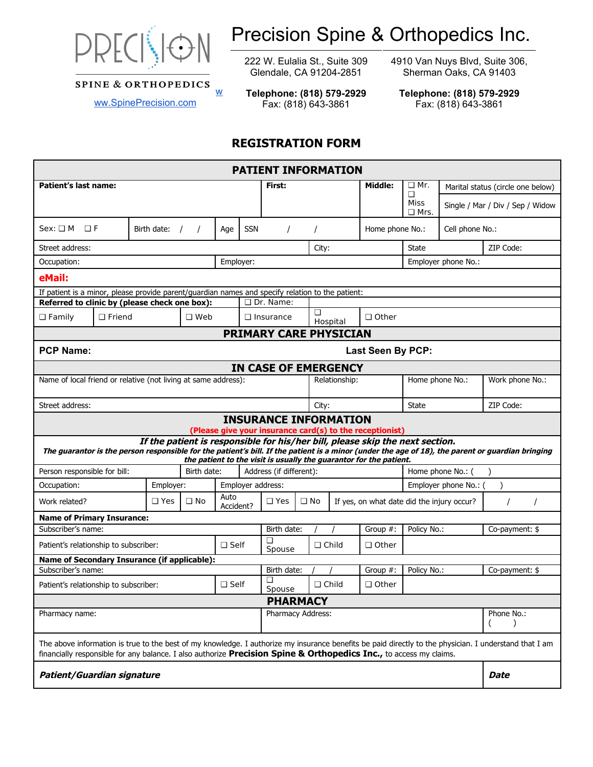

**SPINE & ORTHOPEDICS** 

# Precision Spine & Orthopedics Inc.

222 W. Eulalia St., Suite 309 Glendale, CA 91204-2851

4910 Van Nuys Blvd, Suite 306, Sherman Oaks, CA 91403

**Telephone: (818) 579-2929** Fax: (818) 643-3861

## **REGISTRATION FORM**

w

| <b>PATIENT INFORMATION</b>                                                                                                                                                                                                                                                   |                 |             |                   |                |                               |             |              |               |                                                                                                                                                     |                                                        |                   |                                  |
|------------------------------------------------------------------------------------------------------------------------------------------------------------------------------------------------------------------------------------------------------------------------------|-----------------|-------------|-------------------|----------------|-------------------------------|-------------|--------------|---------------|-----------------------------------------------------------------------------------------------------------------------------------------------------|--------------------------------------------------------|-------------------|----------------------------------|
| Patient's last name:                                                                                                                                                                                                                                                         |                 |             | First:            |                |                               |             |              | Middle:       | $\Box$ Mr.                                                                                                                                          | Marital status (circle one below)                      |                   |                                  |
|                                                                                                                                                                                                                                                                              |                 |             |                   |                |                               |             |              |               |                                                                                                                                                     | П<br>Miss<br>$\square$ Mrs.                            |                   | Single / Mar / Div / Sep / Widow |
| $Sex: \Box M \Box F$                                                                                                                                                                                                                                                         | Birth date: $/$ | $\prime$    | Age               | <b>SSN</b>     |                               |             |              |               | Home phone No.:                                                                                                                                     |                                                        | Cell phone No.:   |                                  |
| Street address:                                                                                                                                                                                                                                                              |                 |             |                   |                |                               |             | City:        |               |                                                                                                                                                     | State                                                  |                   | ZIP Code:                        |
| Occupation:                                                                                                                                                                                                                                                                  |                 |             |                   | Employer:      |                               |             |              |               |                                                                                                                                                     | Employer phone No.:                                    |                   |                                  |
| eMail:                                                                                                                                                                                                                                                                       |                 |             |                   |                |                               |             |              |               |                                                                                                                                                     |                                                        |                   |                                  |
| If patient is a minor, please provide parent/guardian names and specify relation to the patient:                                                                                                                                                                             |                 |             |                   |                |                               |             |              |               |                                                                                                                                                     |                                                        |                   |                                  |
| Referred to clinic by (please check one box):                                                                                                                                                                                                                                |                 |             |                   |                | $\Box$ Dr. Name:              |             |              |               |                                                                                                                                                     |                                                        |                   |                                  |
| $\Box$ Family<br>$\Box$ Friend                                                                                                                                                                                                                                               |                 | $\Box$ Web  |                   |                | $\Box$ Insurance              |             | □            | Hospital      | $\Box$ Other                                                                                                                                        |                                                        |                   |                                  |
|                                                                                                                                                                                                                                                                              |                 |             |                   |                | <b>PRIMARY CARE PHYSICIAN</b> |             |              |               |                                                                                                                                                     |                                                        |                   |                                  |
| <b>PCP Name:</b><br><b>Last Seen By PCP:</b>                                                                                                                                                                                                                                 |                 |             |                   |                |                               |             |              |               |                                                                                                                                                     |                                                        |                   |                                  |
|                                                                                                                                                                                                                                                                              |                 |             |                   |                | <b>IN CASE OF EMERGENCY</b>   |             |              |               |                                                                                                                                                     |                                                        |                   |                                  |
| Name of local friend or relative (not living at same address):                                                                                                                                                                                                               |                 |             |                   |                |                               |             |              | Relationship: |                                                                                                                                                     | Home phone No.:                                        |                   | Work phone No.:                  |
| Street address:                                                                                                                                                                                                                                                              |                 |             |                   |                |                               |             | City:        |               |                                                                                                                                                     | <b>State</b>                                           |                   | ZIP Code:                        |
|                                                                                                                                                                                                                                                                              |                 |             |                   |                | <b>INSURANCE INFORMATION</b>  |             |              |               | (Please give your insurance card(s) to the receptionist)                                                                                            |                                                        |                   |                                  |
| The guarantor is the person responsible for the patient's bill. If the patient is a minor (under the age of 18), the parent or guardian bringing                                                                                                                             |                 |             |                   |                |                               |             |              |               | If the patient is responsible for his/her bill, please skip the next section.<br>the patient to the visit is usually the guarantor for the patient. |                                                        |                   |                                  |
| Person responsible for bill:                                                                                                                                                                                                                                                 |                 | Birth date: |                   |                | Address (if different):       |             |              |               |                                                                                                                                                     |                                                        | Home phone No.: ( |                                  |
| Occupation:                                                                                                                                                                                                                                                                  | Employer:       |             |                   |                | Employer address:             |             |              |               |                                                                                                                                                     | Employer phone No.: (                                  | $\mathcal{E}$     |                                  |
| Work related?                                                                                                                                                                                                                                                                | $\Box$ Yes      | $\Box$ No   | Auto<br>Accident? |                | $\Box$ Yes<br>$\Box$ No       |             |              |               |                                                                                                                                                     | If yes, on what date did the injury occur?<br>$\prime$ |                   |                                  |
| <b>Name of Primary Insurance:</b>                                                                                                                                                                                                                                            |                 |             |                   |                |                               |             |              |               |                                                                                                                                                     |                                                        |                   |                                  |
| Subscriber's name:                                                                                                                                                                                                                                                           |                 |             |                   |                |                               | Birth date: |              |               | Group $#$ :                                                                                                                                         | Policy No.:                                            |                   | Co-payment: \$                   |
| Patient's relationship to subscriber:                                                                                                                                                                                                                                        |                 |             |                   | $\square$ Self |                               | Spouse      | $\Box$ Child |               | $\Box$ Other                                                                                                                                        |                                                        |                   |                                  |
| Name of Secondary Insurance (if applicable):                                                                                                                                                                                                                                 |                 |             |                   |                |                               |             |              |               |                                                                                                                                                     |                                                        |                   |                                  |
| Subscriber's name:                                                                                                                                                                                                                                                           |                 |             |                   |                | Birth date:<br>□              |             |              |               | Group $#$ :                                                                                                                                         | Policy No.:                                            |                   | Co-payment: \$                   |
| $\Box$ Self<br>Patient's relationship to subscriber:                                                                                                                                                                                                                         |                 |             |                   |                | Spouse                        |             |              | $\Box$ Child  | $\Box$ Other                                                                                                                                        |                                                        |                   |                                  |
|                                                                                                                                                                                                                                                                              |                 |             |                   |                | <b>PHARMACY</b>               |             |              |               |                                                                                                                                                     |                                                        |                   |                                  |
| Pharmacy name:<br>Pharmacy Address:                                                                                                                                                                                                                                          |                 |             |                   |                |                               |             |              |               |                                                                                                                                                     | Phone No.:                                             |                   |                                  |
| The above information is true to the best of my knowledge. I authorize my insurance benefits be paid directly to the physician. I understand that I am<br>financially responsible for any balance. I also authorize Precision Spine & Orthopedics Inc., to access my claims. |                 |             |                   |                |                               |             |              |               |                                                                                                                                                     |                                                        |                   |                                  |
| <b>Patient/Guardian signature</b>                                                                                                                                                                                                                                            |                 |             |                   |                |                               |             |              |               |                                                                                                                                                     |                                                        |                   | <b>Date</b>                      |

**Telephone: (818) 579-2929** Fax: (818) 643-3861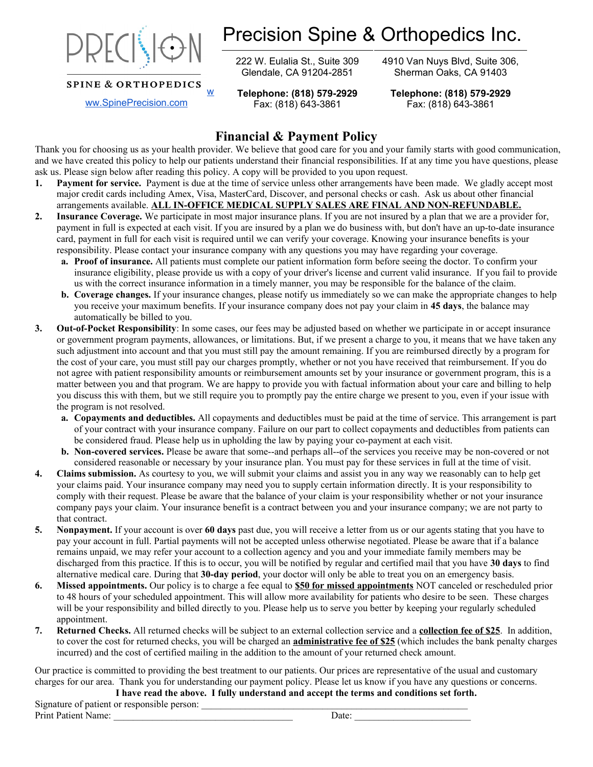

**SPINE & ORTHOPEDICS** 

Precision Spine & Orthopedics Inc.

222 W. Eulalia St., Suite 309 Glendale, CA 91204-2851

**Telephone: (818) 579-2929** Fax: (818) 643-3861

w

4910 Van Nuys Blvd, Suite 306, Sherman Oaks, CA 91403

**Telephone: (818) 579-2929** Fax: (818) 643-3861

## **Financial & Payment Policy**

Thank you for choosing us as your health provider. We believe that good care for you and your family starts with good communication, and we have created this policy to help our patients understand their financial responsibilities. If at any time you have questions, please ask us. Please sign below after reading this policy. A copy will be provided to you upon request.

- **1. Payment for service.** Payment is due at the time of service unless other arrangements have been made. We gladly accept most major credit cards including Amex, Visa, MasterCard, Discover, and personal checks or cash. Ask us about other financial arrangements available. **ALL IN-OFFICE MEDICAL SUPPLY SALES ARE FINAL AND NON-REFUNDABLE.**
- **2. Insurance Coverage.** We participate in most major insurance plans. If you are not insured by a plan that we are a provider for, payment in full is expected at each visit. If you are insured by a plan we do business with, but don't have an up-to-date insurance card, payment in full for each visit is required until we can verify your coverage. Knowing your insurance benefits is your responsibility. Please contact your insurance company with any questions you may have regarding your coverage.
	- **a. Proof of insurance.** All patients must complete our patient information form before seeing the doctor. To confirm your insurance eligibility, please provide us with a copy of your driver's license and current valid insurance. If you fail to provide us with the correct insurance information in a timely manner, you may be responsible for the balance of the claim.
	- **b. Coverage changes.** If your insurance changes, please notify us immediately so we can make the appropriate changes to help you receive your maximum benefits. If your insurance company does not pay your claim in **45 days**, the balance may automatically be billed to you.
- **3. Out-of-Pocket Responsibility**: In some cases, our fees may be adjusted based on whether we participate in or accept insurance or government program payments, allowances, or limitations. But, if we present a charge to you, it means that we have taken any such adjustment into account and that you must still pay the amount remaining. If you are reimbursed directly by a program for the cost of your care, you must still pay our charges promptly, whether or not you have received that reimbursement. If you do not agree with patient responsibility amounts or reimbursement amounts set by your insurance or government program, this is a matter between you and that program. We are happy to provide you with factual information about your care and billing to help you discuss this with them, but we still require you to promptly pay the entire charge we present to you, even if your issue with the program is not resolved.
	- **a. Copayments and deductibles.** All copayments and deductibles must be paid at the time of service. This arrangement is part of your contract with your insurance company. Failure on our part to collect copayments and deductibles from patients can be considered fraud. Please help us in upholding the law by paying your co-payment at each visit.
	- **b. Non-covered services.** Please be aware that some--and perhaps all--of the services you receive may be non-covered or not considered reasonable or necessary by your insurance plan. You must pay for these services in full at the time of visit.
- **4. Claims submission.** As courtesy to you, we will submit your claims and assist you in any way we reasonably can to help get your claims paid. Your insurance company may need you to supply certain information directly. It is your responsibility to comply with their request. Please be aware that the balance of your claim is your responsibility whether or not your insurance company pays your claim. Your insurance benefit is a contract between you and your insurance company; we are not party to that contract.
- **5. Nonpayment.** If your account is over **60 days** past due, you will receive a letter from us or our agents stating that you have to pay your account in full. Partial payments will not be accepted unless otherwise negotiated. Please be aware that if a balance remains unpaid, we may refer your account to a collection agency and you and your immediate family members may be discharged from this practice. If this is to occur, you will be notified by regular and certified mail that you have **30 days** to find alternative medical care. During that **30-day period**, your doctor will only be able to treat you on an emergency basis.
- **6. Missed appointments.** Our policy is to charge a fee equal to **\$50 for missed appointments** NOT canceled or rescheduled prior to 48 hours of your scheduled appointment. This will allow more availability for patients who desire to be seen. These charges will be your responsibility and billed directly to you. Please help us to serve you better by keeping your regularly scheduled appointment.
- **7. Returned Checks.** All returned checks will be subject to an external collection service and a **collection fee of \$25**. In addition, to cover the cost for returned checks, you will be charged an **administrative fee of \$25** (which includes the bank penalty charges incurred) and the cost of certified mailing in the addition to the amount of your returned check amount.

Our practice is committed to providing the best treatment to our patients. Our prices are representative of the usual and customary charges for our area. Thank you for understanding our payment policy. Please let us know if you have any questions or concerns.

**I have read the above. I fully understand and accept the terms and conditions set forth.**

Signature of patient or responsible person: Print Patient Name: <br>
Date: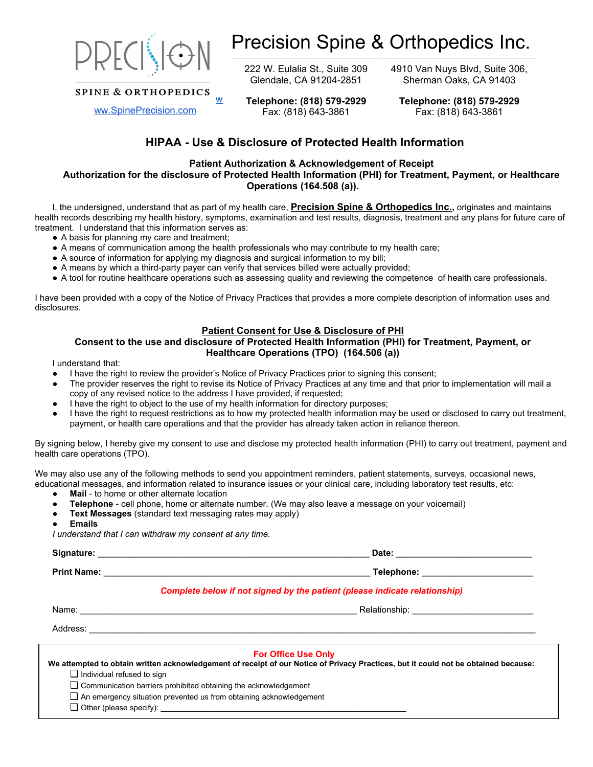

**SPINE & ORTHOPEDICS** 

## Precision Spine & Orthopedics Inc.

222 W. Eulalia St., Suite 309 Glendale, CA 91204-2851

**Telephone: (818) 579-2929** Fax: (818) 643-3861

4910 Van Nuys Blvd, Suite 306, Sherman Oaks, CA 91403

**Telephone: (818) 579-2929** Fax: (818) 643-3861

## **HIPAA - Use & Disclosure of Protected Health Information**

#### **Patient Authorization & Acknowledgement of Receipt**

**Authorization for the disclosure of Protected Health Information (PHI) for Treatment, Payment, or Healthcare Operations (164.508 (a)).**

I, the undersigned, understand that as part of my health care, **Precision Spine & Orthopedics Inc.,** originates and maintains health records describing my health history, symptoms, examination and test results, diagnosis, treatment and any plans for future care of treatment. I understand that this information serves as:

- A basis for planning my care and treatment;
- A means of communication among the health professionals who may contribute to my health care;
- A source of information for applying my diagnosis and surgical information to my bill;

w

- A means by which a third-party payer can verify that services billed were actually provided;
- A tool for routine healthcare operations such as assessing quality and reviewing the competence of health care professionals.

I have been provided with a copy of the Notice of Privacy Practices that provides a more complete description of information uses and disclosures.

#### **Patient Consent for Use & Disclosure of PHI**

#### **Consent to the use and disclosure of Protected Health Information (PHI) for Treatment, Payment, or Healthcare Operations (TPO) (164.506 (a))**

I understand that:

- I have the right to review the provider's Notice of Privacy Practices prior to signing this consent;
- The provider reserves the right to revise its Notice of Privacy Practices at any time and that prior to implementation will mail a copy of any revised notice to the address I have provided, if requested;
- I have the right to object to the use of my health information for directory purposes;
- I have the right to request restrictions as to how my protected health information may be used or disclosed to carry out treatment, payment, or health care operations and that the provider has already taken action in reliance thereon.

By signing below, I hereby give my consent to use and disclose my protected health information (PHI) to carry out treatment, payment and health care operations (TPO).

We may also use any of the following methods to send you appointment reminders, patient statements, surveys, occasional news,

- educational messages, and information related to insurance issues or your clinical care, including laboratory test results, etc:
	- **Mail** to home or other alternate location
	- **Telephone** cell phone, home or alternate number. (We may also leave a message on your voicemail)
	- **Text Messages** (standard text messaging rates may apply)
	- **Emails**

*I understand that I can withdraw my consent at any time.* 

**Signature: \_\_\_\_\_\_\_\_\_\_\_\_\_\_\_\_\_\_\_\_\_\_\_\_\_\_\_\_\_\_\_\_\_\_\_\_\_\_\_\_\_\_\_\_\_\_\_\_\_\_\_\_\_\_\_\_ Date: \_\_\_\_\_\_\_\_\_\_\_\_\_\_\_\_\_\_\_\_\_\_\_\_\_\_\_\_**

**Print Name: Print Name: Principle in the set of the set of the set of the set of the set of the set of the set of the set of the set of the set of the set of the set of the set of the set of the set of the set of the** 

#### *Complete below if not signed by the patient (please indicate relationship)*

Name: \_\_\_\_\_\_\_\_\_\_\_\_\_\_\_\_\_\_\_\_\_\_\_\_\_\_\_\_\_\_\_\_\_\_\_\_\_\_\_\_\_\_\_\_\_\_\_\_\_\_\_\_\_\_\_\_\_ Relationship: \_\_\_\_\_\_\_\_\_\_\_\_\_\_\_\_\_\_\_\_\_\_\_\_\_

Address: \_\_\_\_\_\_\_\_\_\_\_\_\_\_\_\_\_\_\_\_\_\_\_\_\_\_\_\_\_\_\_\_\_\_\_\_\_\_\_\_\_\_\_\_\_\_\_\_\_\_\_\_\_\_\_\_\_\_\_\_\_\_\_\_\_\_\_\_\_\_\_\_\_\_\_\_\_\_\_\_\_\_\_\_\_\_\_\_\_\_\_\_

#### **For Office Use Only**

| We attempted to obtain written acknowledgement of receipt of our Notice of Privacy Practices, but it could not be obtained because: |
|-------------------------------------------------------------------------------------------------------------------------------------|
| $\Box$ Individual refused to sign                                                                                                   |
| $\Box$ Communication barriers prohibited obtaining the acknowledgement                                                              |
| $\Box$ An emergency situation prevented us from obtaining acknowledgement                                                           |
| $\Box$ Other (please specify):                                                                                                      |